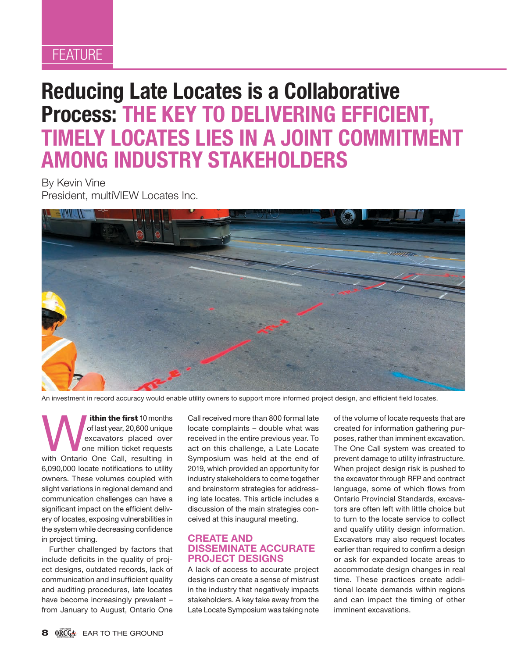## **FEATURE**

# Reducing Late Locates is a Collaborative Process: THE KEY TO DELIVERING EFFICIENT, TIMELY LOCATES LIES IN A JOINT COMMITMENT AMONG INDUSTRY STAKEHOLDERS

By Kevin Vine President, multiVIEW Locates Inc.



An investment in record accuracy would enable utility owners to support more informed project design, and efficient field locates.

ithin the first 10 months of last year, 20,600 unique excavators placed over one million ticket requests **Ithin the first** 10 months<br>
of last year, 20,600 unique<br>
excavators placed over<br>
one million ticket requests<br>
with Ontario One Call, resulting in 6,090,000 locate notifications to utility owners. These volumes coupled with slight variations in regional demand and communication challenges can have a significant impact on the efficient delivery of locates, exposing vulnerabilities in the system while decreasing confidence in project timing.

Further challenged by factors that include deficits in the quality of project designs, outdated records, lack of communication and insufficient quality and auditing procedures, late locates have become increasingly prevalent – from January to August, Ontario One Call received more than 800 formal late locate complaints – double what was received in the entire previous year. To act on this challenge, a Late Locate Symposium was held at the end of 2019, which provided an opportunity for industry stakeholders to come together and brainstorm strategies for addressing late locates. This article includes a discussion of the main strategies conceived at this inaugural meeting.

#### CREATE AND DISSEMINATE ACCURATE PROJECT DESIGNS

A lack of access to accurate project designs can create a sense of mistrust in the industry that negatively impacts stakeholders. A key take away from the Late Locate Symposium was taking note

of the volume of locate requests that are created for information gathering purposes, rather than imminent excavation. The One Call system was created to prevent damage to utility infrastructure. When project design risk is pushed to the excavator through RFP and contract language, some of which flows from Ontario Provincial Standards, excavators are often left with little choice but to turn to the locate service to collect and qualify utility design information. Excavators may also request locates earlier than required to confirm a design or ask for expanded locate areas to accommodate design changes in real time. These practices create additional locate demands within regions and can impact the timing of other imminent excavations.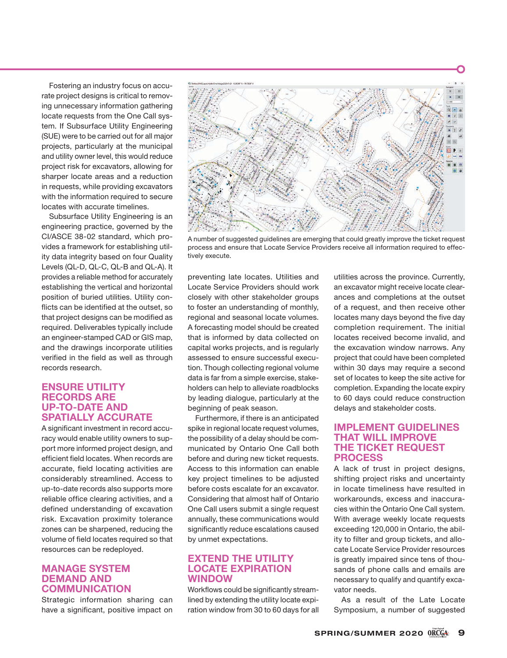Fostering an industry focus on accurate project designs is critical to removing unnecessary information gathering locate requests from the One Call system. If Subsurface Utility Engineering (SUE) were to be carried out for all major projects, particularly at the municipal and utility owner level, this would reduce project risk for excavators, allowing for sharper locate areas and a reduction in requests, while providing excavators with the information required to secure locates with accurate timelines.

Subsurface Utility Engineering is an engineering practice, governed by the CI/ASCE 38-02 standard, which provides a framework for establishing utility data integrity based on four Quality Levels (QL-D, QL-C, QL-B and QL-A). It provides a reliable method for accurately establishing the vertical and horizontal position of buried utilities. Utility conflicts can be identified at the outset, so that project designs can be modified as required. Deliverables typically include an engineer-stamped CAD or GIS map, and the drawings incorporate utilities verified in the field as well as through records research.

#### ENSURE UTILITY RECORDS ARE UP-TO-DATE AND SPATIALLY ACCURATE

A significant investment in record accuracy would enable utility owners to support more informed project design, and efficient field locates. When records are accurate, field locating activities are considerably streamlined. Access to up-to-date records also supports more reliable office clearing activities, and a defined understanding of excavation risk. Excavation proximity tolerance zones can be sharpened, reducing the volume of field locates required so that resources can be redeployed.

#### MANAGE SYSTEM DEMAND AND **COMMUNICATION**

Strategic information sharing can have a significant, positive impact on



A number of suggested guidelines are emerging that could greatly improve the ticket request process and ensure that Locate Service Providers receive all information required to effectively execute.

preventing late locates. Utilities and Locate Service Providers should work closely with other stakeholder groups to foster an understanding of monthly, regional and seasonal locate volumes. A forecasting model should be created that is informed by data collected on capital works projects, and is regularly assessed to ensure successful execution. Though collecting regional volume data is far from a simple exercise, stakeholders can help to alleviate roadblocks by leading dialogue, particularly at the beginning of peak season.

Furthermore, if there is an anticipated spike in regional locate request volumes, the possibility of a delay should be communicated by Ontario One Call both before and during new ticket requests. Access to this information can enable key project timelines to be adjusted before costs escalate for an excavator. Considering that almost half of Ontario One Call users submit a single request annually, these communications would significantly reduce escalations caused by unmet expectations.

#### EXTEND THE UTILITY LOCATE EXPIRATION WINDOW

Workflows could be significantly streamlined by extending the utility locate expiration window from 30 to 60 days for all

utilities across the province. Currently, an excavator might receive locate clearances and completions at the outset of a request, and then receive other locates many days beyond the five day completion requirement. The initial locates received become invalid, and the excavation window narrows. Any project that could have been completed within 30 days may require a second set of locates to keep the site active for completion. Expanding the locate expiry to 60 days could reduce construction delays and stakeholder costs.

#### IMPLEMENT GUIDELINES THAT WILL IMPROVE THE TICKET REQUEST PROCESS

A lack of trust in project designs, shifting project risks and uncertainty in locate timeliness have resulted in workarounds, excess and inaccuracies within the Ontario One Call system. With average weekly locate requests exceeding 120,000 in Ontario, the ability to filter and group tickets, and allocate Locate Service Provider resources is greatly impaired since tens of thousands of phone calls and emails are necessary to qualify and quantify excavator needs.

As a result of the Late Locate Symposium, a number of suggested